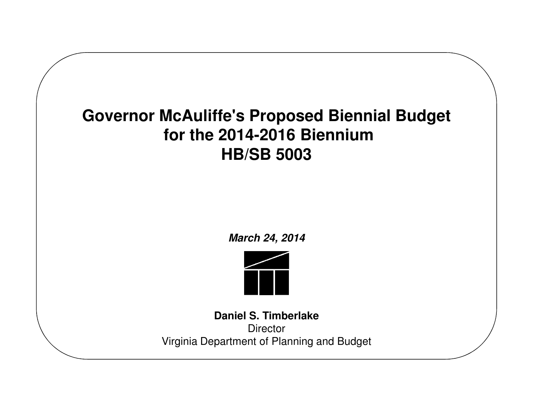### **<sup>S</sup>Governor McAuliffe's Proposed Biennial Budgetfor the 2014-2016 BienniumHB/SB 5003**

**March 24, 2014**



**Daniel S. TimberlakeDirector** Virginia Department of Planning and Budget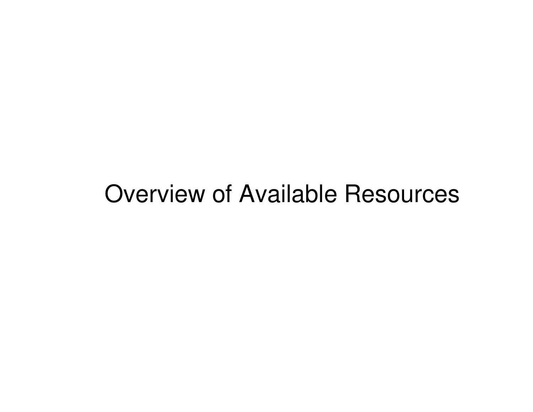## Overview of Available Resources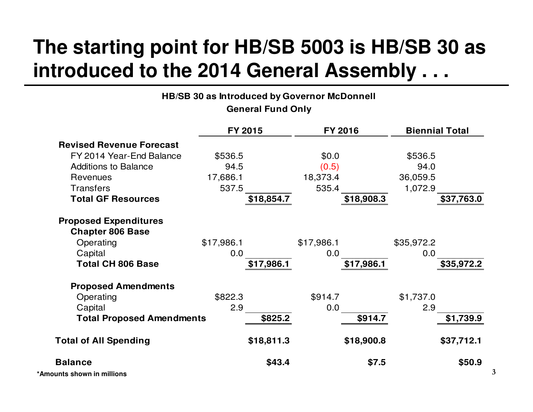## **The starting point for HB/SB 5003 is HB/SB 30 as introduced to the 2014 General Assembly . . .**

| HB/SB 30 as Introduced by Governor McDonnell       |            |                          |            |            |            |                       |
|----------------------------------------------------|------------|--------------------------|------------|------------|------------|-----------------------|
|                                                    |            | <b>General Fund Only</b> |            |            |            |                       |
|                                                    | FY 2015    |                          |            | FY 2016    |            | <b>Biennial Total</b> |
| <b>Revised Revenue Forecast</b>                    |            |                          |            |            |            |                       |
| FY 2014 Year-End Balance                           | \$536.5    |                          | \$0.0\$    |            | \$536.5    |                       |
| <b>Additions to Balance</b>                        | 94.5       |                          | (0.5)      |            | 94.0       |                       |
| Revenues                                           | 17,686.1   |                          | 18,373.4   |            | 36,059.5   |                       |
| <b>Transfers</b>                                   | 537.5      |                          | 535.4      |            | 1,072.9    |                       |
| <b>Total GF Resources</b>                          |            | \$18,854.7               |            | \$18,908.3 |            | \$37,763.0            |
| <b>Proposed Expenditures</b>                       |            |                          |            |            |            |                       |
| <b>Chapter 806 Base</b>                            |            |                          |            |            |            |                       |
| Operating                                          | \$17,986.1 |                          | \$17,986.1 |            | \$35,972.2 |                       |
| Capital                                            | 0.0        |                          | 0.0        |            | 0.0        |                       |
| <b>Total CH 806 Base</b>                           |            | \$17,986.1               |            | \$17,986.1 |            | \$35,972.2            |
| <b>Proposed Amendments</b>                         |            |                          |            |            |            |                       |
| Operating                                          | \$822.3    |                          | \$914.7    |            | \$1,737.0  |                       |
| Capital                                            | 2.9        |                          | 0.0        |            | 2.9        |                       |
| <b>Total Proposed Amendments</b>                   |            | \$825.2                  |            | \$914.7    |            | \$1,739.9             |
| <b>Total of All Spending</b>                       |            | \$18,811.3               |            | \$18,900.8 |            | \$37,712.1            |
| <b>Balance</b><br>المثالثة مستناه ومستحاره المناسب |            | \$43.4                   |            | \$7.5      |            | \$50.9                |

**\*Amounts shown in millions**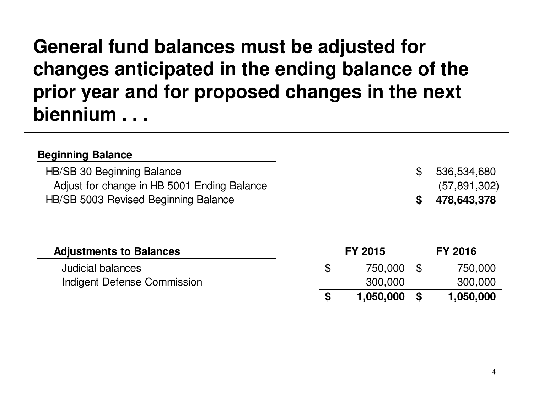### **General fund balances must be adjusted for changes anticipated in the ending balance of the prior year and for proposed changes in the next biennium . . .**

| <b>Beginning Balance</b>                    |                 |           |                |
|---------------------------------------------|-----------------|-----------|----------------|
| HB/SB 30 Beginning Balance                  |                 | \$        | 536,534,680    |
| Adjust for change in HB 5001 Ending Balance |                 |           | (57,891,302)   |
| HB/SB 5003 Revised Beginning Balance        |                 |           | 478,643,378    |
| <b>Adjustments to Balances</b>              | <b>FY 2015</b>  |           | <b>FY 2016</b> |
| <b>Judicial balances</b>                    | \$<br>750,000   | <b>\$</b> | 750,000        |
| Indigent Defense Commission                 | 300,000         |           | 300,000        |
|                                             | \$<br>1,050,000 | S         | 1,050,000      |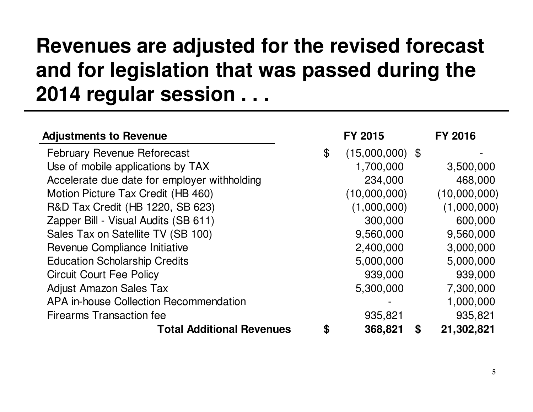## **Revenues are adjusted for the revised forecast and for legislation that was passed during the 2014 regular session . . .**

| <b>Adjustments to Revenue</b>                | <b>FY 2015</b>                     | <b>FY 2016</b>   |
|----------------------------------------------|------------------------------------|------------------|
| <b>February Revenue Reforecast</b>           | $\mathcal{L}$<br>$(15,000,000)$ \$ |                  |
| Use of mobile applications by TAX            | 1,700,000                          | 3,500,000        |
| Accelerate due date for employer withholding | 234,000                            | 468,000          |
| Motion Picture Tax Credit (HB 460)           | (10,000,000)                       | (10,000,000)     |
| R&D Tax Credit (HB 1220, SB 623)             | (1,000,000)                        | (1,000,000)      |
| Zapper Bill - Visual Audits (SB 611)         | 300,000                            | 600,000          |
| Sales Tax on Satellite TV (SB 100)           | 9,560,000                          | 9,560,000        |
| Revenue Compliance Initiative                | 2,400,000                          | 3,000,000        |
| <b>Education Scholarship Credits</b>         | 5,000,000                          | 5,000,000        |
| <b>Circuit Court Fee Policy</b>              | 939,000                            | 939,000          |
| <b>Adjust Amazon Sales Tax</b>               | 5,300,000                          | 7,300,000        |
| APA in-house Collection Recommendation       |                                    | 1,000,000        |
| <b>Firearms Transaction fee</b>              | 935,821                            | 935,821          |
| <b>Total Additional Revenues</b>             | 368,821<br>\$                      | 21,302,821<br>\$ |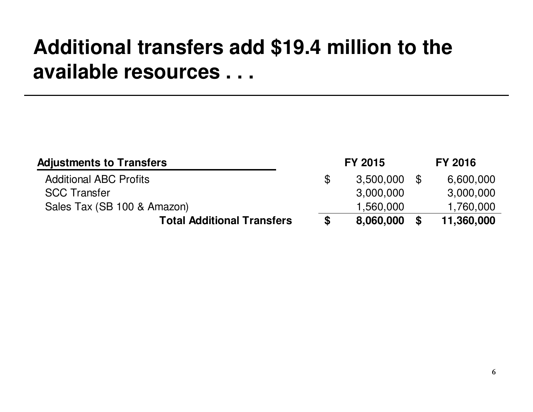## **Additional transfers add \$19.4 million to the available resources . . .**

| <b>Adjustments to Transfers</b>   |    | <b>FY 2015</b> |          | <b>FY 2016</b> |
|-----------------------------------|----|----------------|----------|----------------|
| <b>Additional ABC Profits</b>     | \$ | 3,500,000      | <b>S</b> | 6,600,000      |
| <b>SCC Transfer</b>               |    | 3,000,000      |          | 3,000,000      |
| Sales Tax (SB 100 & Amazon)       |    | 1,560,000      |          | 1,760,000      |
| <b>Total Additional Transfers</b> | S  | 8,060,000      | <b>S</b> | 11,360,000     |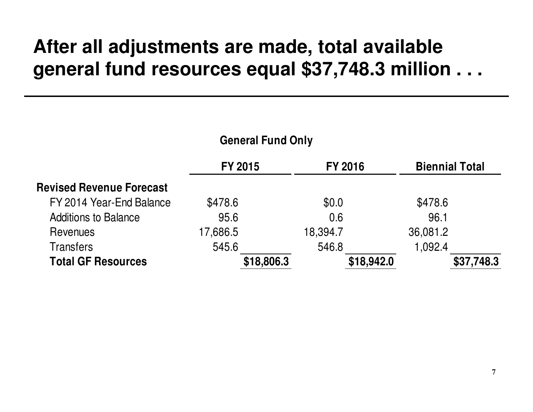### **After all adjustments are made, total available general fund resources equal \$37,748.3 million . . .**

| <b>General Fund Only</b>        |                |                |                       |            |  |
|---------------------------------|----------------|----------------|-----------------------|------------|--|
|                                 | <b>FY 2015</b> | <b>FY 2016</b> | <b>Biennial Total</b> |            |  |
| <b>Revised Revenue Forecast</b> |                |                |                       |            |  |
| FY 2014 Year-End Balance        | \$478.6        | \$0.0          | \$478.6               |            |  |
| <b>Additions to Balance</b>     | 95.6           | 0.6            | 96.1                  |            |  |
| Revenues                        | 17,686.5       | 18,394.7       | 36,081.2              |            |  |
| <b>Transfers</b>                | 545.6          | 546.8          | 1,092.4               |            |  |
| <b>Total GF Resources</b>       | \$18,806.3     |                | \$18,942.0            | \$37,748.3 |  |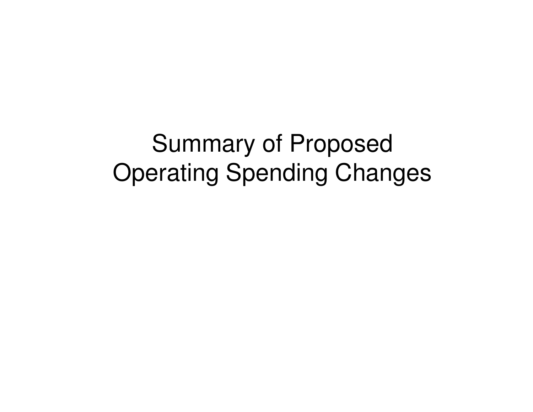Summary of Proposed Operating Spending Changes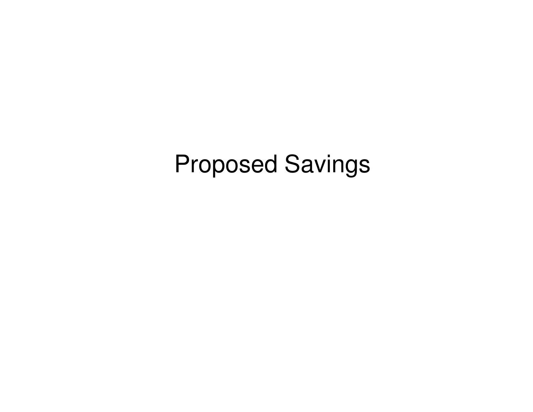## Proposed Savings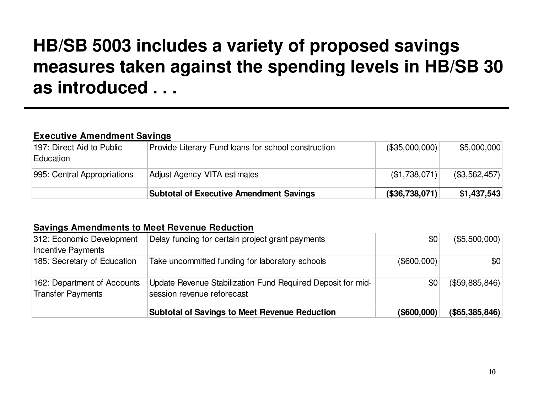### **HB/SB 5003 includes a variety of proposed savings measures taken against the spending levels in HB/SB 30 as introduced . . .**

### **Executive Amendment Savings**

| 197: Direct Aid to Public<br>Education | Provide Literary Fund loans for school construction | (\$35,000,000)        | \$5,000,000          |
|----------------------------------------|-----------------------------------------------------|-----------------------|----------------------|
| 995: Central Appropriations            | Adjust Agency VITA estimates                        | (\$1,738,071)         | $($ \$3,562,457) $ $ |
|                                        | <b>Subtotal of Executive Amendment Savings</b>      | $($ \$36,738,071) $ $ | \$1,437,543          |

### **Savings Amendments to Meet Revenue Reduction**

| 312: Economic Development<br>Incentive Payments         | Delay funding for certain project grant payments                                          | \$0                | $($ \$5,500,000) $ $  |
|---------------------------------------------------------|-------------------------------------------------------------------------------------------|--------------------|-----------------------|
| 185: Secretary of Education                             | Take uncommitted funding for laboratory schools                                           | $($ \$600,000) $ $ | \$0                   |
| 162: Department of Accounts<br><b>Transfer Payments</b> | Update Revenue Stabilization Fund Required Deposit for mid-<br>session revenue reforecast | \$0                | $($ \$59,885,846) $ $ |
|                                                         | <b>Subtotal of Savings to Meet Revenue Reduction</b>                                      | $($ \$600,000) $ $ | $($ \$65,385,846) $ $ |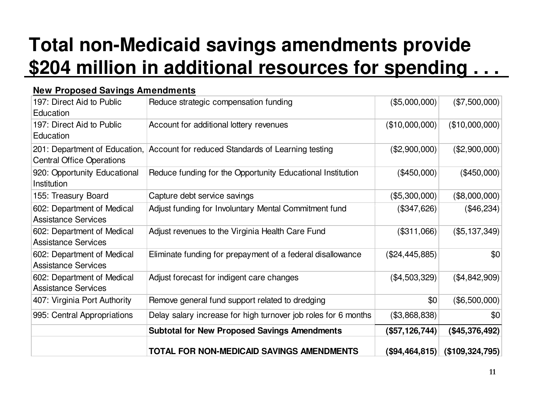## **Total non-Medicaid savings amendments provide \$204 million in additional resources for spending . . .**

| 197: Direct Aid to Public<br>Education                            | Reduce strategic compensation funding                          | (\$5,000,000)    | (\$7,500,000)          |
|-------------------------------------------------------------------|----------------------------------------------------------------|------------------|------------------------|
| 197: Direct Aid to Public<br>Education                            | Account for additional lottery revenues                        | (\$10,000,000)   | (\$10,000,000)         |
| 201: Department of Education,<br><b>Central Office Operations</b> | Account for reduced Standards of Learning testing              | (\$2,900,000)    | (\$2,900,000)          |
| 920: Opportunity Educational<br>Institution                       | Reduce funding for the Opportunity Educational Institution     | (\$450,000)      | (\$450,000)            |
| 155: Treasury Board                                               | Capture debt service savings                                   | (\$5,300,000)    | $(*8,000,000)$         |
| 602: Department of Medical<br><b>Assistance Services</b>          | Adjust funding for Involuntary Mental Commitment fund          | (\$347,626)      | (\$46,234)             |
| 602: Department of Medical<br><b>Assistance Services</b>          | Adjust revenues to the Virginia Health Care Fund               | (\$311,066)      | (\$5,137,349)          |
| 602: Department of Medical<br><b>Assistance Services</b>          | Eliminate funding for prepayment of a federal disallowance     | (\$24,445,885)   | \$0                    |
| 602: Department of Medical<br><b>Assistance Services</b>          | Adjust forecast for indigent care changes                      | (\$4,503,329)    | (\$4,842,909)          |
| 407: Virginia Port Authority                                      | Remove general fund support related to dredging                | \$0              | (\$6,500,000)          |
| 995: Central Appropriations                                       | Delay salary increase for high turnover job roles for 6 months | (\$3,868,838)    | \$0                    |
|                                                                   | <b>Subtotal for New Proposed Savings Amendments</b>            | (\$57, 126, 744) | ( \$45,376,492)        |
|                                                                   | <b>TOTAL FOR NON-MEDICAID SAVINGS AMENDMENTS</b>               | (\$94,464,815)   | $($ \$109,324,795) $ $ |

### **New Proposed Savings Amendments**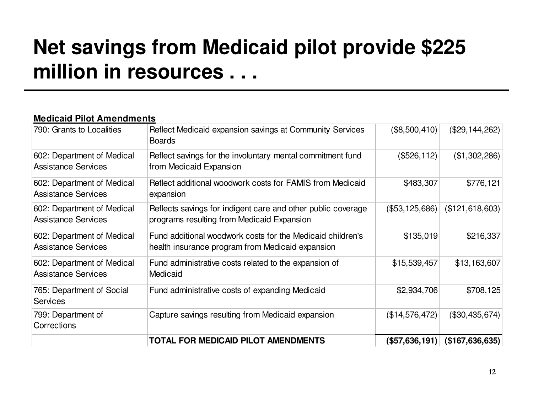## **Net savings from Medicaid pilot provide \$225 million in resources . . .**

### **Medicaid Pilot Amendments**

|                                                          | TOTAL FOR MEDICAID PILOT AMENDMENTS                                                                            | (\$57,636,191) $\mid$ | (\$167,636,635) |
|----------------------------------------------------------|----------------------------------------------------------------------------------------------------------------|-----------------------|-----------------|
| 799: Department of<br>Corrections                        | Capture savings resulting from Medicaid expansion                                                              | (\$14,576,472)        | (\$30,435,674)  |
| 765: Department of Social<br><b>Services</b>             | Fund administrative costs of expanding Medicaid                                                                | \$2,934,706           | \$708,125       |
| 602: Department of Medical<br><b>Assistance Services</b> | Fund administrative costs related to the expansion of<br>Medicaid                                              | \$15,539,457          | \$13,163,607    |
| 602: Department of Medical<br><b>Assistance Services</b> | Fund additional woodwork costs for the Medicaid children's<br>health insurance program from Medicaid expansion | \$135,019             | \$216,337       |
| 602: Department of Medical<br><b>Assistance Services</b> | Reflects savings for indigent care and other public coverage<br>programs resulting from Medicaid Expansion     | (\$53,125,686)        | (\$121,618,603) |
| 602: Department of Medical<br><b>Assistance Services</b> | Reflect additional woodwork costs for FAMIS from Medicaid<br>expansion                                         | \$483,307             | \$776,121       |
| 602: Department of Medical<br><b>Assistance Services</b> | Reflect savings for the involuntary mental commitment fund<br>from Medicaid Expansion                          | (\$526, 112)          | (\$1,302,286)   |
| 790: Grants to Localities                                | Reflect Medicaid expansion savings at Community Services<br><b>Boards</b>                                      | (\$8,500,410)         | (\$29,144,262)  |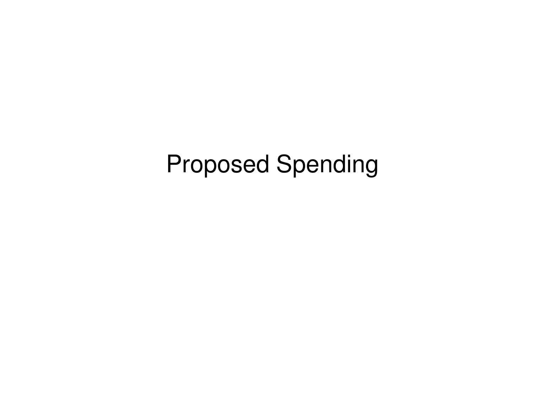## Proposed Spending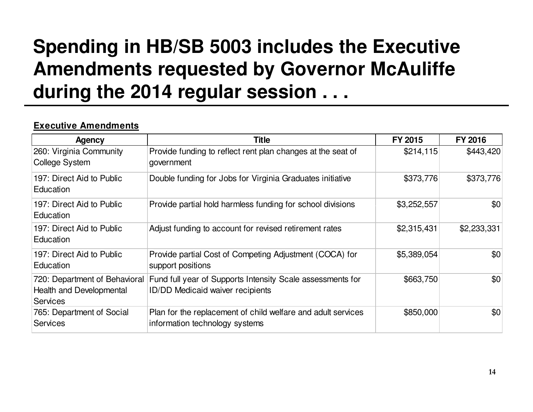### **Spending in HB/SB 5003 includes the Executive Amendments requested by Governor McAuliffe during the 2014 regular session . . .**

### **Executive Amendments**

| <b>Agency</b>                                                                | <b>Title</b>                                                                                          | FY 2015     | FY 2016     |
|------------------------------------------------------------------------------|-------------------------------------------------------------------------------------------------------|-------------|-------------|
| 260: Virginia Community<br><b>College System</b>                             | Provide funding to reflect rent plan changes at the seat of<br>government                             | \$214,115   | \$443,420   |
| 197: Direct Aid to Public<br>Education                                       | Double funding for Jobs for Virginia Graduates initiative                                             | \$373,776   | \$373,776   |
| 197: Direct Aid to Public<br>Education                                       | Provide partial hold harmless funding for school divisions                                            | \$3,252,557 | \$0         |
| 197: Direct Aid to Public<br>Education                                       | Adjust funding to account for revised retirement rates                                                | \$2,315,431 | \$2,233,331 |
| 197: Direct Aid to Public<br>Education                                       | Provide partial Cost of Competing Adjustment (COCA) for<br>support positions                          | \$5,389,054 | \$0         |
| 720: Department of Behavioral<br>Health and Developmental<br><b>Services</b> | Fund full year of Supports Intensity Scale assessments for<br><b>ID/DD Medicaid waiver recipients</b> | \$663,750   | \$0         |
| 765: Department of Social<br><b>Services</b>                                 | Plan for the replacement of child welfare and adult services<br>information technology systems        | \$850,000   | \$0         |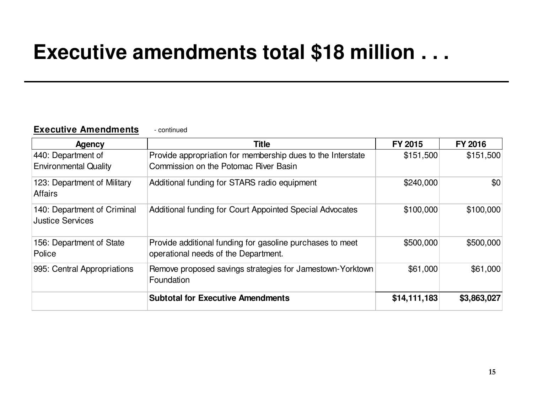### **Executive amendments total \$18 million . . .**

#### **Executive Amendments**- continued

| Agency                                                 | <b>Title</b>                                                                                         | FY 2015      | <b>FY 2016</b> |
|--------------------------------------------------------|------------------------------------------------------------------------------------------------------|--------------|----------------|
| 440: Department of<br><b>Environmental Quality</b>     | Provide appropriation for membership dues to the Interstate<br>Commission on the Potomac River Basin | \$151,500    | \$151,500      |
| 123: Department of Military<br><b>Affairs</b>          | Additional funding for STARS radio equipment                                                         | \$240,000    | \$0            |
| 140: Department of Criminal<br><b>Justice Services</b> | Additional funding for Court Appointed Special Advocates                                             | \$100,000    | \$100,000      |
| 156: Department of State<br>Police                     | Provide additional funding for gasoline purchases to meet<br>operational needs of the Department.    | \$500,000    | \$500,000      |
| 995: Central Appropriations                            | Remove proposed savings strategies for Jamestown-Yorktown<br>Foundation                              | \$61,000     | \$61,000       |
|                                                        | <b>Subtotal for Executive Amendments</b>                                                             | \$14,111,183 | \$3,863,027    |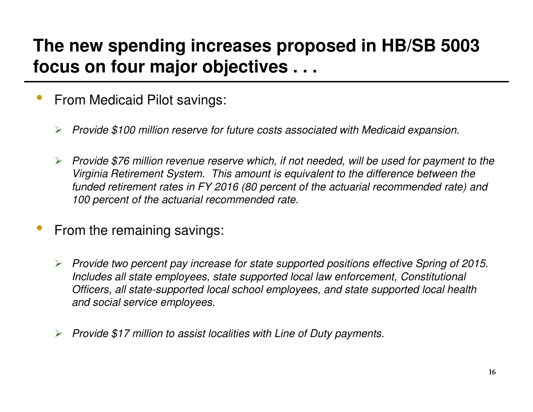### **The new spending increases proposed in HB/SB 5003 focus on four major objectives . . .**

- • From Medicaid Pilot savings:
	- $\blacktriangleright$ Provide \$100 million reserve for future costs associated with Medicaid expansion.
	- $\blacktriangleright$  Provide \$76 million revenue reserve which, if not needed, will be used for payment to the Virginia Retirement System. This amount is equivalent to the difference between the funded retirement rates in FY 2016 (80 percent of the actuarial recommended rate) and 100 percent of the actuarial recommended rate.
- • From the remaining savings:
	- Provide two percent pay increase for state supported positions effective Spring of 2015. Includes all state employees, state supported local law enforcement, Constitutional Officers, all state-supported local school employees, and state supported local health and social service employees.
	- $\blacktriangleright$ Provide \$17 million to assist localities with Line of Duty payments.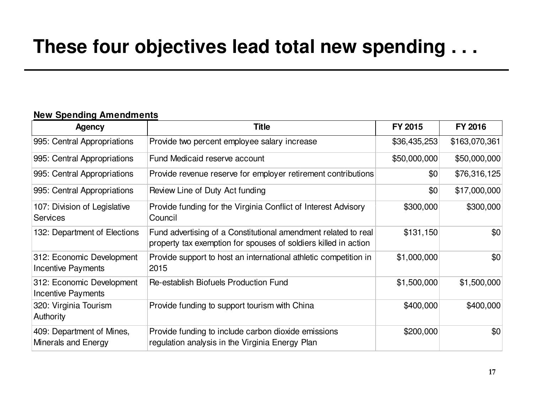### **These four objectives lead total new spending . . .**

### **New Spending Amendments**

| <b>Agency</b>                                    | <b>Title</b>                                                                                                                      | FY 2015      | <b>FY 2016</b> |
|--------------------------------------------------|-----------------------------------------------------------------------------------------------------------------------------------|--------------|----------------|
| 995: Central Appropriations                      | Provide two percent employee salary increase                                                                                      | \$36,435,253 | \$163,070,361  |
| 995: Central Appropriations                      | Fund Medicaid reserve account                                                                                                     | \$50,000,000 | \$50,000,000   |
| 995: Central Appropriations                      | Provide revenue reserve for employer retirement contributions                                                                     | \$0          | \$76,316,125   |
| 995: Central Appropriations                      | Review Line of Duty Act funding                                                                                                   | \$0          | \$17,000,000   |
| 107: Division of Legislative<br><b>Services</b>  | Provide funding for the Virginia Conflict of Interest Advisory<br>Council                                                         | \$300,000    | \$300,000      |
| 132: Department of Elections                     | Fund advertising of a Constitutional amendment related to real<br>property tax exemption for spouses of soldiers killed in action | \$131,150    | \$0            |
| 312: Economic Development<br>Incentive Payments  | Provide support to host an international athletic competition in<br>2015                                                          | \$1,000,000  | \$0            |
| 312: Economic Development<br>Incentive Payments  | Re-establish Biofuels Production Fund                                                                                             | \$1,500,000  | \$1,500,000    |
| 320: Virginia Tourism<br><b>Authority</b>        | Provide funding to support tourism with China                                                                                     | \$400,000    | \$400,000      |
| 409: Department of Mines,<br>Minerals and Energy | Provide funding to include carbon dioxide emissions<br>regulation analysis in the Virginia Energy Plan                            | \$200,000    | \$0            |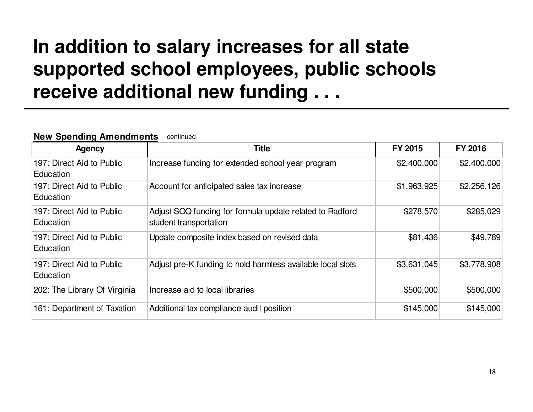### **In addition to salary increases for all state supported school employees, public schools receive additional new funding . . .**

### **New Spending Amendments**- continued

| <b>Agency</b>                          | <b>Title</b>                                                                       | FY 2015     | FY 2016     |
|----------------------------------------|------------------------------------------------------------------------------------|-------------|-------------|
| 197: Direct Aid to Public<br>Education | Increase funding for extended school year program                                  | \$2,400,000 | \$2,400,000 |
| 197: Direct Aid to Public<br>Education | Account for anticipated sales tax increase                                         |             | \$2,256,126 |
| 197: Direct Aid to Public<br>Education | Adjust SOQ funding for formula update related to Radford<br>student transportation | \$278,570   | \$285,029   |
| 197: Direct Aid to Public<br>Education | Update composite index based on revised data                                       | \$81,436    | \$49,789    |
| 197: Direct Aid to Public<br>Education | Adjust pre-K funding to hold harmless available local slots                        | \$3,631,045 | \$3,778,908 |
| 202: The Library Of Virginia           | Increase aid to local libraries                                                    | \$500,000   | \$500,000   |
| 161: Department of Taxation            | Additional tax compliance audit position                                           | \$145,000   | \$145,000   |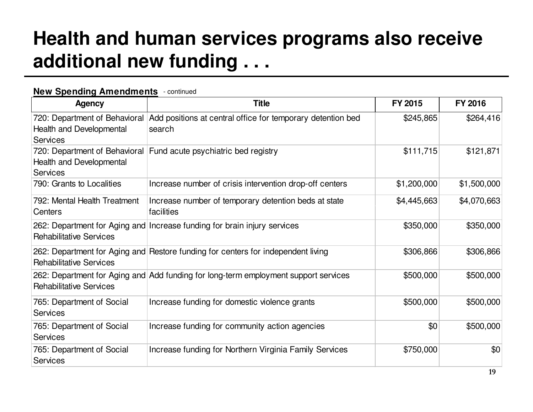### **Health and human services programs also receive additional new funding . . .**

### **New Spending Amendments** - continued

| <b>Agency</b>                                                                | <b>Title</b>                                                                        | FY 2015     | <b>FY 2016</b> |
|------------------------------------------------------------------------------|-------------------------------------------------------------------------------------|-------------|----------------|
| 720: Department of Behavioral<br>Health and Developmental<br><b>Services</b> | Add positions at central office for temporary detention bed<br>search               | \$245,865   | \$264,416      |
| 720: Department of Behavioral<br>Health and Developmental<br><b>Services</b> | Fund acute psychiatric bed registry                                                 | \$111,715   | \$121,871      |
| 790: Grants to Localities                                                    | Increase number of crisis intervention drop-off centers                             | \$1,200,000 | \$1,500,000    |
| 792: Mental Health Treatment<br>Centers                                      | Increase number of temporary detention beds at state<br>facilities                  | \$4,445,663 | \$4,070,663    |
| <b>Rehabilitative Services</b>                                               | 262: Department for Aging and Increase funding for brain injury services            | \$350,000   | \$350,000      |
| <b>Rehabilitative Services</b>                                               | 262: Department for Aging and Restore funding for centers for independent living    | \$306,866   | \$306,866      |
| <b>Rehabilitative Services</b>                                               | 262: Department for Aging and Add funding for long-term employment support services | \$500,000   | \$500,000      |
| 765: Department of Social<br><b>Services</b>                                 | Increase funding for domestic violence grants                                       | \$500,000   | \$500,000      |
| 765: Department of Social<br><b>Services</b>                                 | Increase funding for community action agencies                                      | \$0         | \$500,000      |
| 765: Department of Social<br><b>Services</b>                                 | Increase funding for Northern Virginia Family Services                              | \$750,000   | \$0            |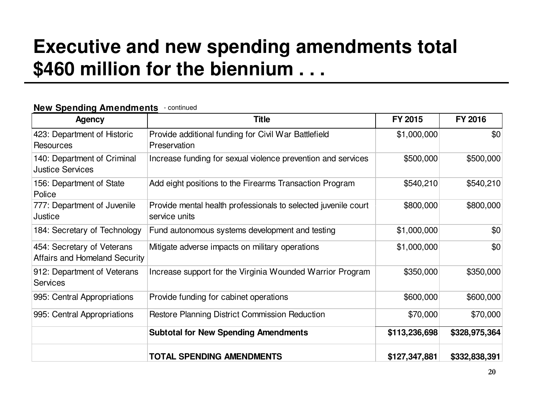### **Executive and new spending amendments total \$460 million for the biennium . . .**

### **New Spending Amendments** - continued

| <b>Agency</b>                                               | <b>Title</b>                                                                    | FY 2015       | FY 2016       |
|-------------------------------------------------------------|---------------------------------------------------------------------------------|---------------|---------------|
| 423: Department of Historic<br><b>Resources</b>             | Provide additional funding for Civil War Battlefield<br>Preservation            | \$1,000,000   | \$0           |
| 140: Department of Criminal<br><b>Justice Services</b>      | Increase funding for sexual violence prevention and services                    | \$500,000     | \$500,000     |
| 156: Department of State<br>Police                          | Add eight positions to the Firearms Transaction Program                         |               | \$540,210     |
| 777: Department of Juvenile<br>Justice                      | Provide mental health professionals to selected juvenile court<br>service units | \$800,000     | \$800,000     |
| 184: Secretary of Technology                                | Fund autonomous systems development and testing                                 | \$1,000,000   | \$0           |
| 454: Secretary of Veterans<br>Affairs and Homeland Security | Mitigate adverse impacts on military operations                                 | \$1,000,000   | \$0           |
| 912: Department of Veterans<br><b>Services</b>              | Increase support for the Virginia Wounded Warrior Program                       | \$350,000     | \$350,000     |
| 995: Central Appropriations                                 | Provide funding for cabinet operations                                          | \$600,000     | \$600,000     |
| 995: Central Appropriations                                 | Restore Planning District Commission Reduction                                  | \$70,000      | \$70,000      |
|                                                             | <b>Subtotal for New Spending Amendments</b>                                     | \$113,236,698 | \$328,975,364 |
|                                                             | <b>TOTAL SPENDING AMENDMENTS</b>                                                | \$127,347,881 | \$332,838,391 |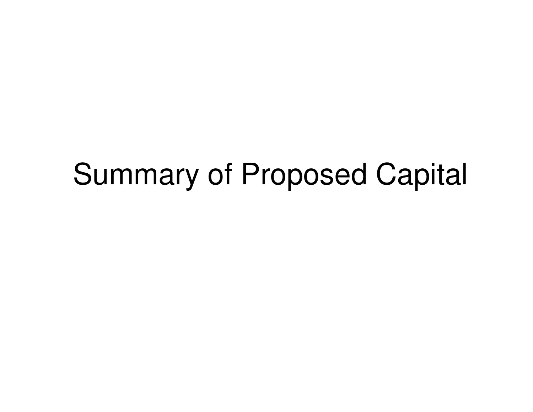# Summary of Proposed Capital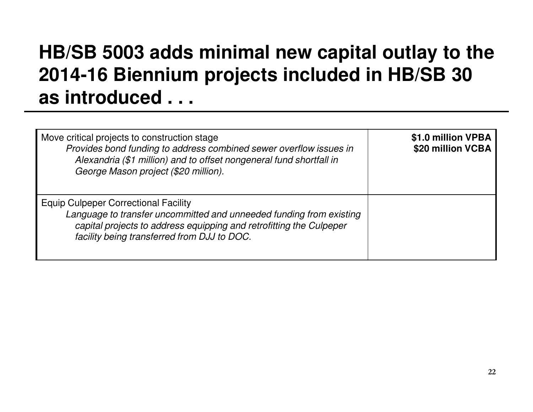### **HB/SB 5003 adds minimal new capital outlay to the 2014-16 Biennium projects included in HB/SB 30 as introduced . . .**

| Move critical projects to construction stage<br>Provides bond funding to address combined sewer overflow issues in<br>Alexandria (\$1 million) and to offset nongeneral fund shortfall in<br>George Mason project (\$20 million).        | \$1.0 million VPBA<br>\$20 million VCBA |
|------------------------------------------------------------------------------------------------------------------------------------------------------------------------------------------------------------------------------------------|-----------------------------------------|
| <b>Equip Culpeper Correctional Facility</b><br>Language to transfer uncommitted and unneeded funding from existing<br>capital projects to address equipping and retrofitting the Culpeper<br>facility being transferred from DJJ to DOC. |                                         |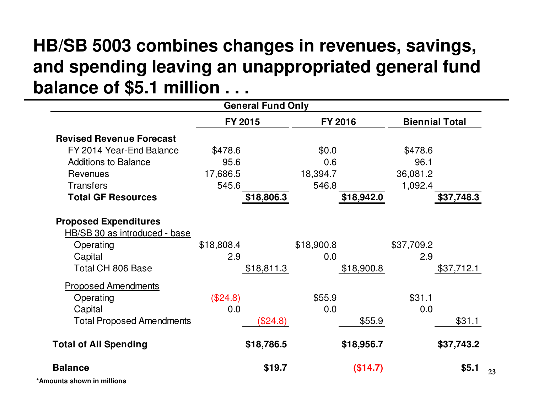### **HB/SB 5003 combines changes in revenues, savings, and spending leaving an unappropriated general fundbalance of \$5.1 million . . .**

| <b>General Fund Only</b>             |            |            |                       |
|--------------------------------------|------------|------------|-----------------------|
|                                      | FY 2015    | FY 2016    | <b>Biennial Total</b> |
| <b>Revised Revenue Forecast</b>      |            |            |                       |
| FY 2014 Year-End Balance             | \$478.6    | \$0.0\$    | \$478.6               |
| <b>Additions to Balance</b>          | 95.6       | 0.6        | 96.1                  |
| Revenues                             | 17,686.5   | 18,394.7   | 36,081.2              |
| <b>Transfers</b>                     | 545.6      | 546.8      | 1,092.4               |
| <b>Total GF Resources</b>            | \$18,806.3 | \$18,942.0 | \$37,748.3            |
| <b>Proposed Expenditures</b>         |            |            |                       |
| <b>HB/SB 30 as introduced - base</b> |            |            |                       |
| Operating                            | \$18,808.4 | \$18,900.8 | \$37,709.2            |
| Capital                              | 2.9        | 0.0        | 2.9                   |
| <b>Total CH 806 Base</b>             | \$18,811.3 | \$18,900.8 | \$37,712.1            |
| <b>Proposed Amendments</b>           |            |            |                       |
| Operating                            | (\$24.8)   | \$55.9     | \$31.1                |
| Capital                              | 0.0        | 0.0        | 0.0                   |
| <b>Total Proposed Amendments</b>     | (\$24.8)   | \$55.9     | \$31.1                |
| <b>Total of All Spending</b>         | \$18,786.5 | \$18,956.7 | \$37,743.2            |
| <b>Balance</b>                       | \$19.7     | (\$14.7)   | \$5.1                 |
| *Amounts shown in millions           |            |            |                       |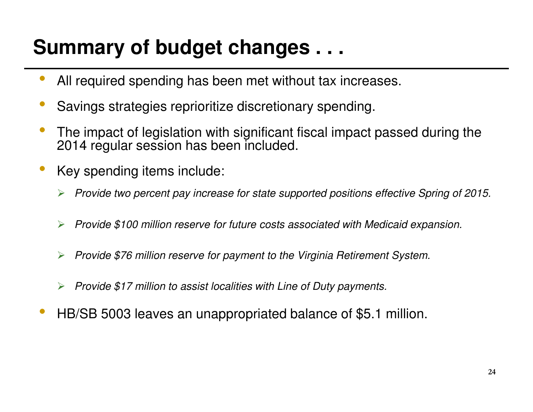## **Summary of budget changes . . .**

- •All required spending has been met without tax increases.
- •Savings strategies reprioritize discretionary spending.
- • The impact of legislation with significant fiscal impact passed during the 2014 regular session has been included.
- • Key spending items include:
	- $\blacktriangleright$ Provide two percent pay increase for state supported positions effective Spring of 2015.
	- $\blacktriangleright$ Provide \$100 million reserve for future costs associated with Medicaid expansion.
	- $\blacktriangleright$ Provide \$76 million reserve for payment to the Virginia Retirement System.
	- $\blacktriangleright$ Provide \$17 million to assist localities with Line of Duty payments.
- •HB/SB 5003 leaves an unappropriated balance of \$5.1 million.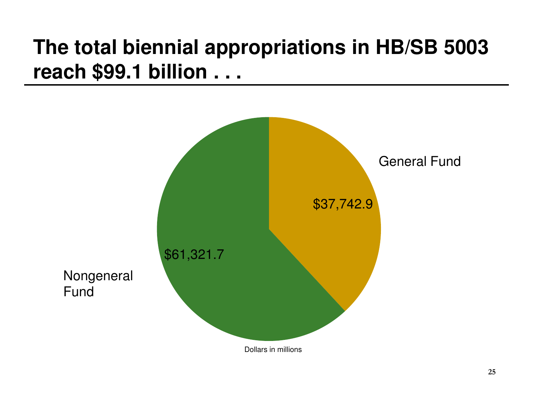## **The total biennial appropriations in HB/SB 5003 reach \$99.1 billion . . .**